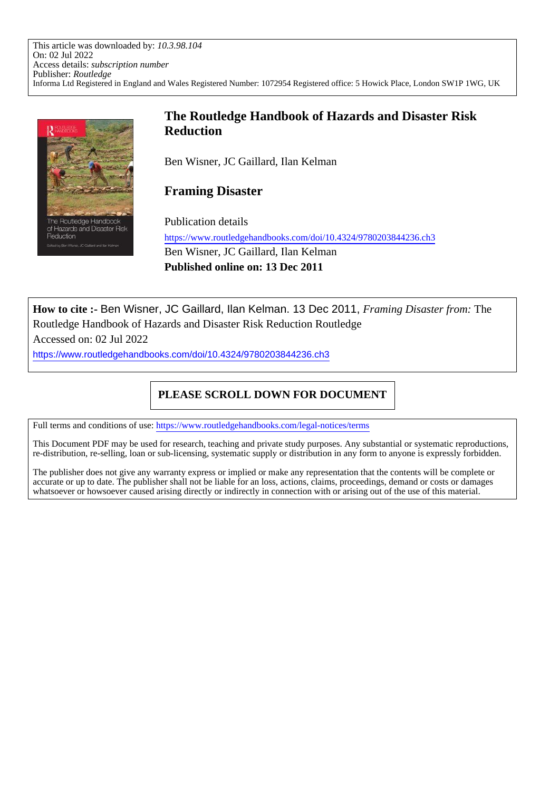This article was downloaded by: *10.3.98.104* On: 02 Jul 2022 Access details: *subscription number* Publisher: *Routledge* Informa Ltd Registered in England and Wales Registered Number: 1072954 Registered office: 5 Howick Place, London SW1P 1WG, UK



## **The Routledge Handbook of Hazards and Disaster Risk Reduction**

Ben Wisner, JC Gaillard, Ilan Kelman

## **Framing Disaster**

Publication details https://www.routledgehandbooks.com/doi/10.4324/9780203844236.ch3 Ben Wisner, JC Gaillard, Ilan Kelman **Published online on: 13 Dec 2011**

**How to cite :-** Ben Wisner, JC Gaillard, Ilan Kelman. 13 Dec 2011, *Framing Disaster from:* The Routledge Handbook of Hazards and Disaster Risk Reduction Routledge

Accessed on: 02 Jul 2022

https://www.routledgehandbooks.com/doi/10.4324/9780203844236.ch3

## **PLEASE SCROLL DOWN FOR DOCUMENT**

Full terms and conditions of use: https://www.routledgehandbooks.com/legal-notices/terms

This Document PDF may be used for research, teaching and private study purposes. Any substantial or systematic reproductions, re-distribution, re-selling, loan or sub-licensing, systematic supply or distribution in any form to anyone is expressly forbidden.

The publisher does not give any warranty express or implied or make any representation that the contents will be complete or accurate or up to date. The publisher shall not be liable for an loss, actions, claims, proceedings, demand or costs or damages whatsoever or howsoever caused arising directly or indirectly in connection with or arising out of the use of this material.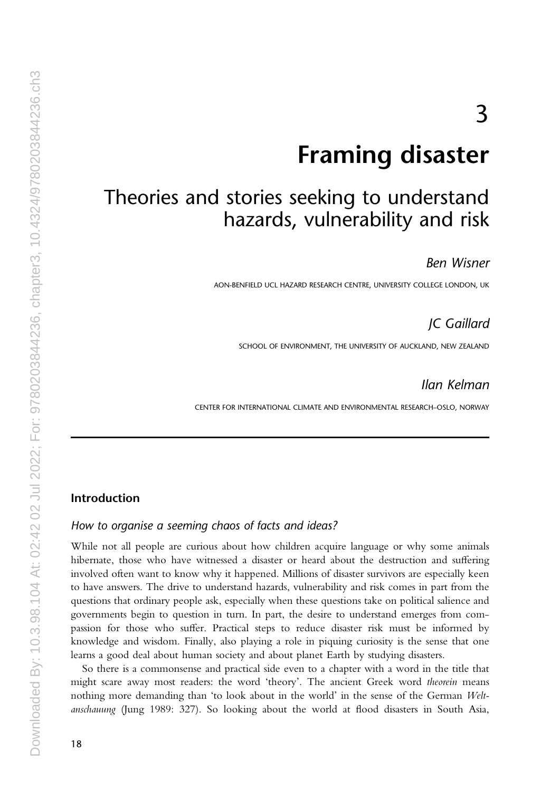# Framing disaster

## Theories and stories seeking to understand hazards, vulnerability and risk

#### Ben Wisner

AON-BENFIELD UCL HAZARD RESEARCH CENTRE, UNIVERSITY COLLEGE LONDON, UK

### JC Gaillard

SCHOOL OF ENVIRONMENT, THE UNIVERSITY OF AUCKLAND, NEW ZEALAND

### Ilan Kelman

CENTER FOR INTERNATIONAL CLIMATE AND ENVIRONMENTAL RESEARCH–OSLO, NORWAY

#### Introduction

#### How to organise a seeming chaos of facts and ideas?

While not all people are curious about how children acquire language or why some animals hibernate, those who have witnessed a disaster or heard about the destruction and suffering involved often want to know why it happened. Millions of disaster survivors are especially keen to have answers. The drive to understand hazards, vulnerability and risk comes in part from the questions that ordinary people ask, especially when these questions take on political salience and governments begin to question in turn. In part, the desire to understand emerges from compassion for those who suffer. Practical steps to reduce disaster risk must be informed by knowledge and wisdom. Finally, also playing a role in piquing curiosity is the sense that one learns a good deal about human society and about planet Earth by studying disasters.

So there is a commonsense and practical side even to a chapter with a word in the title that might scare away most readers: the word 'theory'. The ancient Greek word theorein means nothing more demanding than 'to look about in the world' in the sense of the German Weltanschauung (Jung 1989: 327). So looking about the world at flood disasters in South Asia,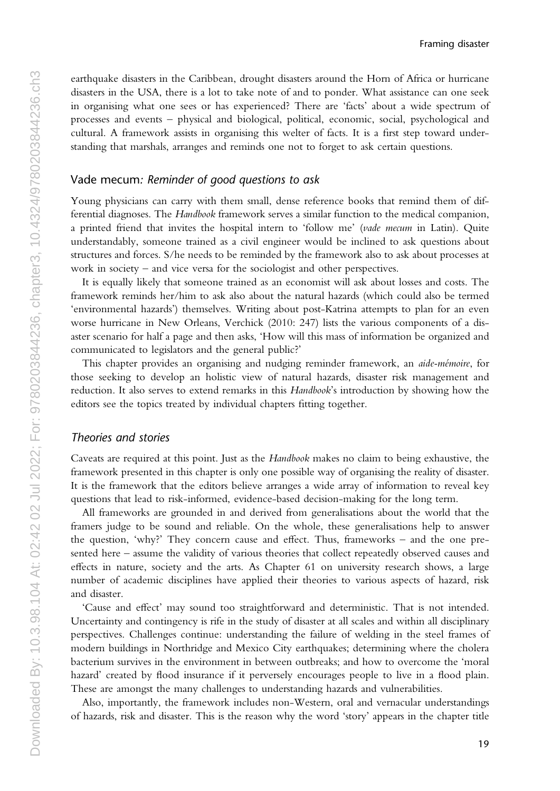earthquake disasters in the Caribbean, drought disasters around the Horn of Africa or hurricane disasters in the USA, there is a lot to take note of and to ponder. What assistance can one seek in organising what one sees or has experienced? There are 'facts' about a wide spectrum of processes and events – physical and biological, political, economic, social, psychological and cultural. A framework assists in organising this welter of facts. It is a first step toward understanding that marshals, arranges and reminds one not to forget to ask certain questions.

#### Vade mecum: Reminder of good questions to ask

Young physicians can carry with them small, dense reference books that remind them of differential diagnoses. The Handbook framework serves a similar function to the medical companion, a printed friend that invites the hospital intern to 'follow me' (vade mecum in Latin). Quite understandably, someone trained as a civil engineer would be inclined to ask questions about structures and forces. S/he needs to be reminded by the framework also to ask about processes at work in society – and vice versa for the sociologist and other perspectives.

It is equally likely that someone trained as an economist will ask about losses and costs. The framework reminds her/him to ask also about the natural hazards (which could also be termed 'environmental hazards') themselves. Writing about post-Katrina attempts to plan for an even worse hurricane in New Orleans, Verchick (2010: 247) lists the various components of a disaster scenario for half a page and then asks, 'How will this mass of information be organized and communicated to legislators and the general public?'

This chapter provides an organising and nudging reminder framework, an aide-mémoire, for those seeking to develop an holistic view of natural hazards, disaster risk management and reduction. It also serves to extend remarks in this Handbook's introduction by showing how the editors see the topics treated by individual chapters fitting together.

#### Theories and stories

Caveats are required at this point. Just as the Handbook makes no claim to being exhaustive, the framework presented in this chapter is only one possible way of organising the reality of disaster. It is the framework that the editors believe arranges a wide array of information to reveal key questions that lead to risk-informed, evidence-based decision-making for the long term.

All frameworks are grounded in and derived from generalisations about the world that the framers judge to be sound and reliable. On the whole, these generalisations help to answer the question, 'why?' They concern cause and effect. Thus, frameworks – and the one presented here – assume the validity of various theories that collect repeatedly observed causes and effects in nature, society and the arts. As Chapter 61 on university research shows, a large number of academic disciplines have applied their theories to various aspects of hazard, risk and disaster.

'Cause and effect' may sound too straightforward and deterministic. That is not intended. Uncertainty and contingency is rife in the study of disaster at all scales and within all disciplinary perspectives. Challenges continue: understanding the failure of welding in the steel frames of modern buildings in Northridge and Mexico City earthquakes; determining where the cholera bacterium survives in the environment in between outbreaks; and how to overcome the 'moral hazard' created by flood insurance if it perversely encourages people to live in a flood plain. These are amongst the many challenges to understanding hazards and vulnerabilities.

Also, importantly, the framework includes non-Western, oral and vernacular understandings of hazards, risk and disaster. This is the reason why the word 'story' appears in the chapter title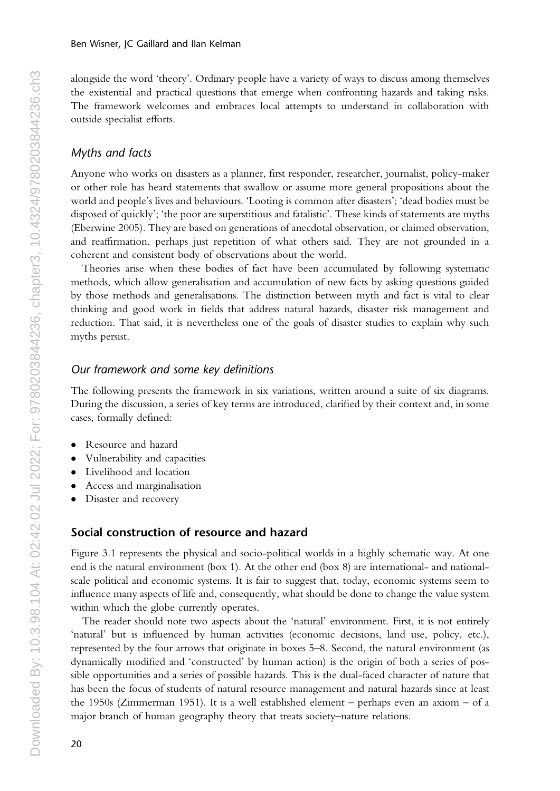alongside the word 'theory'. Ordinary people have a variety of ways to discuss among themselves the existential and practical questions that emerge when confronting hazards and taking risks. The framework welcomes and embraces local attempts to understand in collaboration with outside specialist efforts.

#### Myths and facts

Anyone who works on disasters as a planner, first responder, researcher, journalist, policy-maker or other role has heard statements that swallow or assume more general propositions about the world and people's lives and behaviours. 'Looting is common after disasters'; 'dead bodies must be disposed of quickly'; 'the poor are superstitious and fatalistic'. These kinds of statements are myths (Eberwine 2005). They are based on generations of anecdotal observation, or claimed observation, and reaffirmation, perhaps just repetition of what others said. They are not grounded in a coherent and consistent body of observations about the world.

Theories arise when these bodies of fact have been accumulated by following systematic methods, which allow generalisation and accumulation of new facts by asking questions guided by those methods and generalisations. The distinction between myth and fact is vital to clear thinking and good work in fields that address natural hazards, disaster risk management and reduction. That said, it is nevertheless one of the goals of disaster studies to explain why such myths persist.

#### Our framework and some key definitions

The following presents the framework in six variations, written around a suite of six diagrams. During the discussion, a series of key terms are introduced, clarified by their context and, in some cases, formally defined:

- Resource and hazard
- Vulnerability and capacities
- Livelihood and location
- Access and marginalisation
- Disaster and recovery

#### Social construction of resource and hazard

Figure 3.1 represents the physical and socio-political worlds in a highly schematic way. At one end is the natural environment (box 1). At the other end (box 8) are international- and nationalscale political and economic systems. It is fair to suggest that, today, economic systems seem to influence many aspects of life and, consequently, what should be done to change the value system within which the globe currently operates.

The reader should note two aspects about the 'natural' environment. First, it is not entirely 'natural' but is influenced by human activities (economic decisions, land use, policy, etc.), represented by the four arrows that originate in boxes 5–8. Second, the natural environment (as dynamically modified and 'constructed' by human action) is the origin of both a series of possible opportunities and a series of possible hazards. This is the dual-faced character of nature that has been the focus of students of natural resource management and natural hazards since at least the 1950s (Zimmerman 1951). It is a well established element – perhaps even an axiom – of a major branch of human geography theory that treats society–nature relations.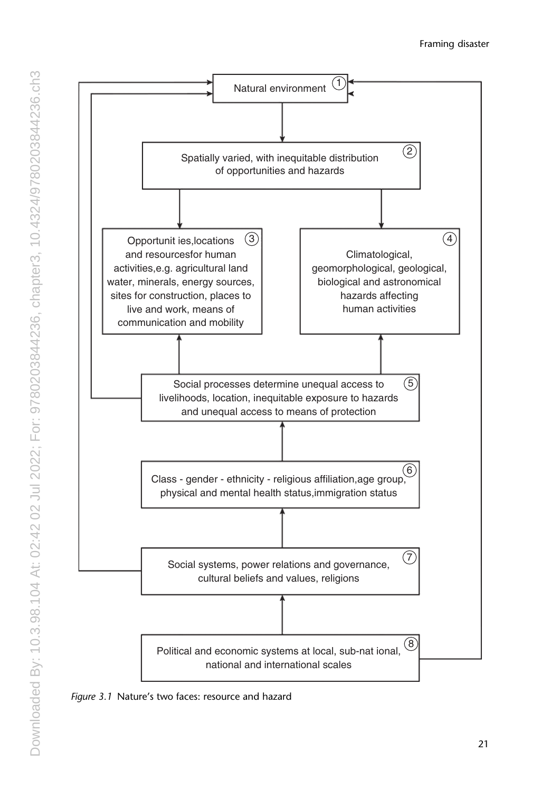



Figure 3.1 Nature's two faces: resource and hazard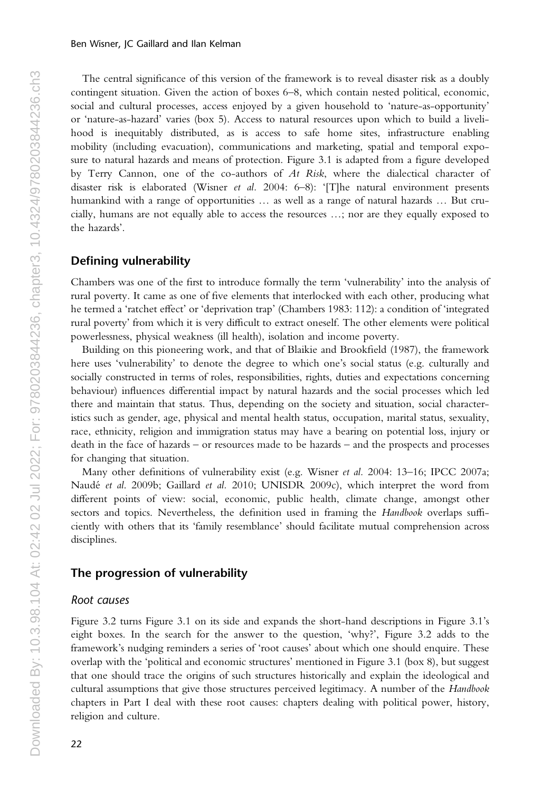The central significance of this version of the framework is to reveal disaster risk as a doubly contingent situation. Given the action of boxes 6–8, which contain nested political, economic, social and cultural processes, access enjoyed by a given household to 'nature-as-opportunity' or 'nature-as-hazard' varies (box 5). Access to natural resources upon which to build a livelihood is inequitably distributed, as is access to safe home sites, infrastructure enabling mobility (including evacuation), communications and marketing, spatial and temporal exposure to natural hazards and means of protection. Figure 3.1 is adapted from a figure developed by Terry Cannon, one of the co-authors of At Risk, where the dialectical character of disaster risk is elaborated (Wisner et al. 2004: 6–8): '[T]he natural environment presents humankind with a range of opportunities … as well as a range of natural hazards … But crucially, humans are not equally able to access the resources …; nor are they equally exposed to the hazards'.

#### Defining vulnerability

Chambers was one of the first to introduce formally the term 'vulnerability' into the analysis of rural poverty. It came as one of five elements that interlocked with each other, producing what he termed a 'ratchet effect' or 'deprivation trap' (Chambers 1983: 112): a condition of 'integrated rural poverty' from which it is very difficult to extract oneself. The other elements were political powerlessness, physical weakness (ill health), isolation and income poverty.

Building on this pioneering work, and that of Blaikie and Brookfield (1987), the framework here uses 'vulnerability' to denote the degree to which one's social status (e.g. culturally and socially constructed in terms of roles, responsibilities, rights, duties and expectations concerning behaviour) influences differential impact by natural hazards and the social processes which led there and maintain that status. Thus, depending on the society and situation, social characteristics such as gender, age, physical and mental health status, occupation, marital status, sexuality, race, ethnicity, religion and immigration status may have a bearing on potential loss, injury or death in the face of hazards – or resources made to be hazards – and the prospects and processes for changing that situation.

Many other definitions of vulnerability exist (e.g. Wisner et al. 2004: 13–16; IPCC 2007a; Naudé et al. 2009b; Gaillard et al. 2010; UNISDR 2009c), which interpret the word from different points of view: social, economic, public health, climate change, amongst other sectors and topics. Nevertheless, the definition used in framing the Handbook overlaps sufficiently with others that its 'family resemblance' should facilitate mutual comprehension across disciplines.

#### The progression of vulnerability

#### Root causes

Figure 3.2 turns Figure 3.1 on its side and expands the short-hand descriptions in Figure 3.1's eight boxes. In the search for the answer to the question, 'why?', Figure 3.2 adds to the framework's nudging reminders a series of 'root causes' about which one should enquire. These overlap with the 'political and economic structures' mentioned in Figure 3.1 (box 8), but suggest that one should trace the origins of such structures historically and explain the ideological and cultural assumptions that give those structures perceived legitimacy. A number of the Handbook chapters in Part I deal with these root causes: chapters dealing with political power, history, religion and culture.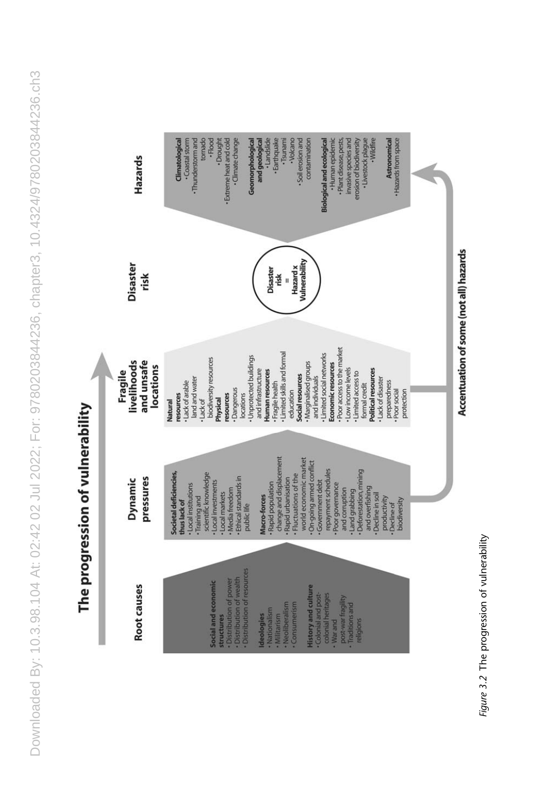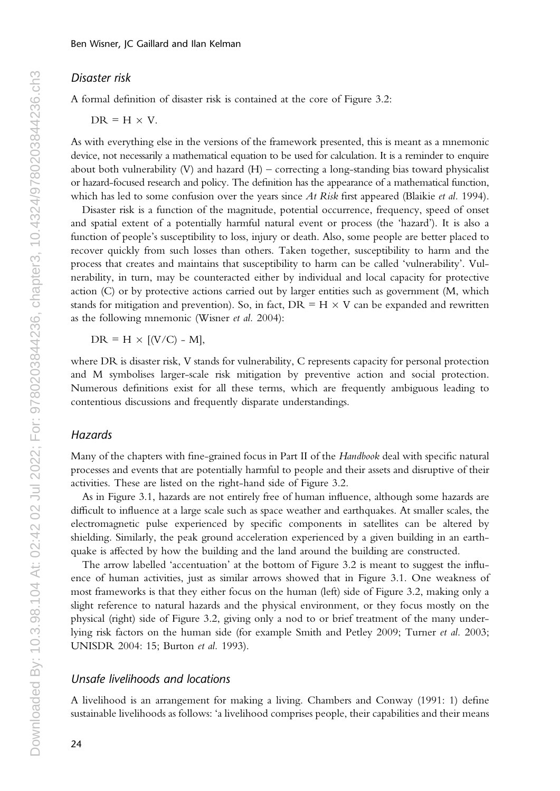#### Disaster risk

A formal definition of disaster risk is contained at the core of Figure 3.2:

 $DR = H \times V$ .

As with everything else in the versions of the framework presented, this is meant as a mnemonic device, not necessarily a mathematical equation to be used for calculation. It is a reminder to enquire about both vulnerability  $(V)$  and hazard  $(H)$  – correcting a long-standing bias toward physicalist or hazard-focused research and policy. The definition has the appearance of a mathematical function, which has led to some confusion over the years since At Risk first appeared (Blaikie et al. 1994).

Disaster risk is a function of the magnitude, potential occurrence, frequency, speed of onset and spatial extent of a potentially harmful natural event or process (the 'hazard'). It is also a function of people's susceptibility to loss, injury or death. Also, some people are better placed to recover quickly from such losses than others. Taken together, susceptibility to harm and the process that creates and maintains that susceptibility to harm can be called 'vulnerability'. Vulnerability, in turn, may be counteracted either by individual and local capacity for protective action (C) or by protective actions carried out by larger entities such as government (M, which stands for mitigation and prevention). So, in fact,  $DR = H \times V$  can be expanded and rewritten as the following mnemonic (Wisner et al. 2004):

 $DR = H \times [(V/C) - M]$ ,

where DR is disaster risk, V stands for vulnerability, C represents capacity for personal protection and M symbolises larger-scale risk mitigation by preventive action and social protection. Numerous definitions exist for all these terms, which are frequently ambiguous leading to contentious discussions and frequently disparate understandings.

#### **Hazards**

Many of the chapters with fine-grained focus in Part II of the Handbook deal with specific natural processes and events that are potentially harmful to people and their assets and disruptive of their activities. These are listed on the right-hand side of Figure 3.2.

As in Figure 3.1, hazards are not entirely free of human influence, although some hazards are difficult to influence at a large scale such as space weather and earthquakes. At smaller scales, the electromagnetic pulse experienced by specific components in satellites can be altered by shielding. Similarly, the peak ground acceleration experienced by a given building in an earthquake is affected by how the building and the land around the building are constructed.

The arrow labelled 'accentuation' at the bottom of Figure 3.2 is meant to suggest the influence of human activities, just as similar arrows showed that in Figure 3.1. One weakness of most frameworks is that they either focus on the human (left) side of Figure 3.2, making only a slight reference to natural hazards and the physical environment, or they focus mostly on the physical (right) side of Figure 3.2, giving only a nod to or brief treatment of the many underlying risk factors on the human side (for example Smith and Petley 2009; Turner et al. 2003; UNISDR 2004: 15; Burton et al. 1993).

#### Unsafe livelihoods and locations

A livelihood is an arrangement for making a living. Chambers and Conway (1991: 1) define sustainable livelihoods as follows: 'a livelihood comprises people, their capabilities and their means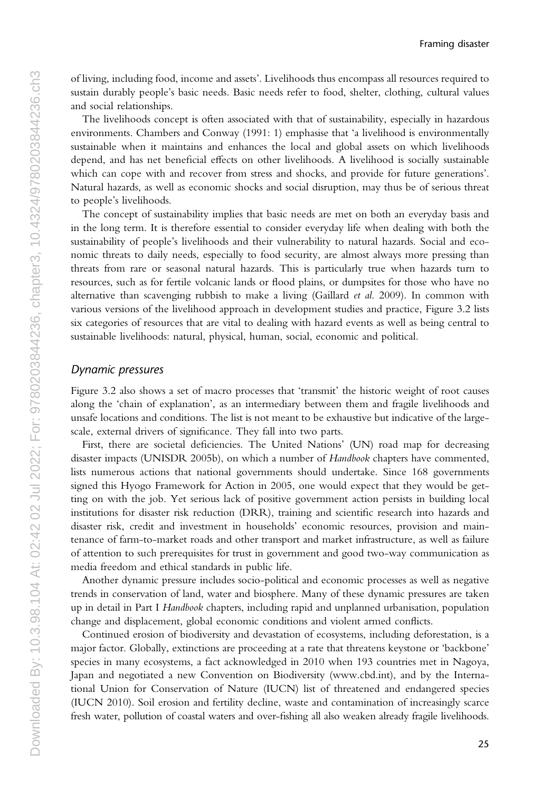of living, including food, income and assets'. Livelihoods thus encompass all resources required to sustain durably people's basic needs. Basic needs refer to food, shelter, clothing, cultural values and social relationships.

The livelihoods concept is often associated with that of sustainability, especially in hazardous environments. Chambers and Conway (1991: 1) emphasise that 'a livelihood is environmentally sustainable when it maintains and enhances the local and global assets on which livelihoods depend, and has net beneficial effects on other livelihoods. A livelihood is socially sustainable which can cope with and recover from stress and shocks, and provide for future generations'. Natural hazards, as well as economic shocks and social disruption, may thus be of serious threat to people's livelihoods.

The concept of sustainability implies that basic needs are met on both an everyday basis and in the long term. It is therefore essential to consider everyday life when dealing with both the sustainability of people's livelihoods and their vulnerability to natural hazards. Social and economic threats to daily needs, especially to food security, are almost always more pressing than threats from rare or seasonal natural hazards. This is particularly true when hazards turn to resources, such as for fertile volcanic lands or flood plains, or dumpsites for those who have no alternative than scavenging rubbish to make a living (Gaillard et al. 2009). In common with various versions of the livelihood approach in development studies and practice, Figure 3.2 lists six categories of resources that are vital to dealing with hazard events as well as being central to sustainable livelihoods: natural, physical, human, social, economic and political.

#### Dynamic pressures

Figure 3.2 also shows a set of macro processes that 'transmit' the historic weight of root causes along the 'chain of explanation', as an intermediary between them and fragile livelihoods and unsafe locations and conditions. The list is not meant to be exhaustive but indicative of the largescale, external drivers of significance. They fall into two parts.

First, there are societal deficiencies. The United Nations' (UN) road map for decreasing disaster impacts (UNISDR 2005b), on which a number of *Handbook* chapters have commented, lists numerous actions that national governments should undertake. Since 168 governments signed this Hyogo Framework for Action in 2005, one would expect that they would be getting on with the job. Yet serious lack of positive government action persists in building local institutions for disaster risk reduction (DRR), training and scientific research into hazards and disaster risk, credit and investment in households' economic resources, provision and maintenance of farm-to-market roads and other transport and market infrastructure, as well as failure of attention to such prerequisites for trust in government and good two-way communication as media freedom and ethical standards in public life.

Another dynamic pressure includes socio-political and economic processes as well as negative trends in conservation of land, water and biosphere. Many of these dynamic pressures are taken up in detail in Part I Handbook chapters, including rapid and unplanned urbanisation, population change and displacement, global economic conditions and violent armed conflicts.

Continued erosion of biodiversity and devastation of ecosystems, including deforestation, is a major factor. Globally, extinctions are proceeding at a rate that threatens keystone or 'backbone' species in many ecosystems, a fact acknowledged in 2010 when 193 countries met in Nagoya, Japan and negotiated a new Convention on Biodiversity (www.cbd.int), and by the International Union for Conservation of Nature (IUCN) list of threatened and endangered species (IUCN 2010). Soil erosion and fertility decline, waste and contamination of increasingly scarce fresh water, pollution of coastal waters and over-fishing all also weaken already fragile livelihoods.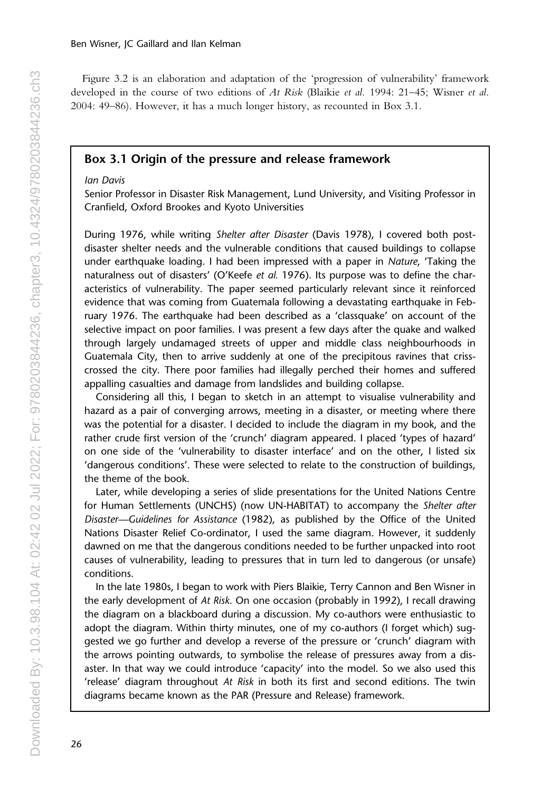Figure 3.2 is an elaboration and adaptation of the 'progression of vulnerability' framework developed in the course of two editions of At Risk (Blaikie et al. 1994: 21–45; Wisner et al. 2004: 49–86). However, it has a much longer history, as recounted in Box 3.1.

#### Box 3.1 Origin of the pressure and release framework

#### Ian Davis

Senior Professor in Disaster Risk Management, Lund University, and Visiting Professor in Cranfield, Oxford Brookes and Kyoto Universities

During 1976, while writing Shelter after Disaster (Davis 1978), I covered both postdisaster shelter needs and the vulnerable conditions that caused buildings to collapse under earthquake loading. I had been impressed with a paper in Nature, 'Taking the naturalness out of disasters' (O'Keefe et al. 1976). Its purpose was to define the characteristics of vulnerability. The paper seemed particularly relevant since it reinforced evidence that was coming from Guatemala following a devastating earthquake in February 1976. The earthquake had been described as a 'classquake' on account of the selective impact on poor families. I was present a few days after the quake and walked through largely undamaged streets of upper and middle class neighbourhoods in Guatemala City, then to arrive suddenly at one of the precipitous ravines that crisscrossed the city. There poor families had illegally perched their homes and suffered appalling casualties and damage from landslides and building collapse.

Considering all this, I began to sketch in an attempt to visualise vulnerability and hazard as a pair of converging arrows, meeting in a disaster, or meeting where there was the potential for a disaster. I decided to include the diagram in my book, and the rather crude first version of the 'crunch' diagram appeared. I placed 'types of hazard' on one side of the 'vulnerability to disaster interface' and on the other, I listed six 'dangerous conditions'. These were selected to relate to the construction of buildings, the theme of the book.

Later, while developing a series of slide presentations for the United Nations Centre for Human Settlements (UNCHS) (now UN-HABITAT) to accompany the Shelter after Disaster—Guidelines for Assistance (1982), as published by the Office of the United Nations Disaster Relief Co-ordinator, I used the same diagram. However, it suddenly dawned on me that the dangerous conditions needed to be further unpacked into root causes of vulnerability, leading to pressures that in turn led to dangerous (or unsafe) conditions.

In the late 1980s, I began to work with Piers Blaikie, Terry Cannon and Ben Wisner in the early development of At Risk. On one occasion (probably in 1992), I recall drawing the diagram on a blackboard during a discussion. My co-authors were enthusiastic to adopt the diagram. Within thirty minutes, one of my co-authors (I forget which) suggested we go further and develop a reverse of the pressure or 'crunch' diagram with the arrows pointing outwards, to symbolise the release of pressures away from a disaster. In that way we could introduce 'capacity' into the model. So we also used this 'release' diagram throughout At Risk in both its first and second editions. The twin diagrams became known as the PAR (Pressure and Release) framework.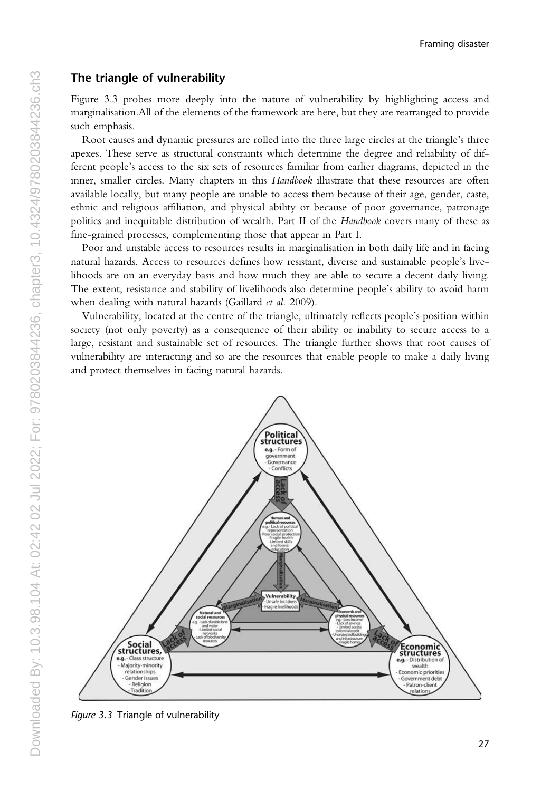#### The triangle of vulnerability

Figure 3.3 probes more deeply into the nature of vulnerability by highlighting access and marginalisation.All of the elements of the framework are here, but they are rearranged to provide such emphasis.

Root causes and dynamic pressures are rolled into the three large circles at the triangle's three apexes. These serve as structural constraints which determine the degree and reliability of different people's access to the six sets of resources familiar from earlier diagrams, depicted in the inner, smaller circles. Many chapters in this Handbook illustrate that these resources are often available locally, but many people are unable to access them because of their age, gender, caste, ethnic and religious affiliation, and physical ability or because of poor governance, patronage politics and inequitable distribution of wealth. Part II of the Handbook covers many of these as fine-grained processes, complementing those that appear in Part I.

Poor and unstable access to resources results in marginalisation in both daily life and in facing natural hazards. Access to resources defines how resistant, diverse and sustainable people's livelihoods are on an everyday basis and how much they are able to secure a decent daily living. The extent, resistance and stability of livelihoods also determine people's ability to avoid harm when dealing with natural hazards (Gaillard et al. 2009).

Vulnerability, located at the centre of the triangle, ultimately reflects people's position within society (not only poverty) as a consequence of their ability or inability to secure access to a large, resistant and sustainable set of resources. The triangle further shows that root causes of vulnerability are interacting and so are the resources that enable people to make a daily living and protect themselves in facing natural hazards.



Figure 3.3 Triangle of vulnerability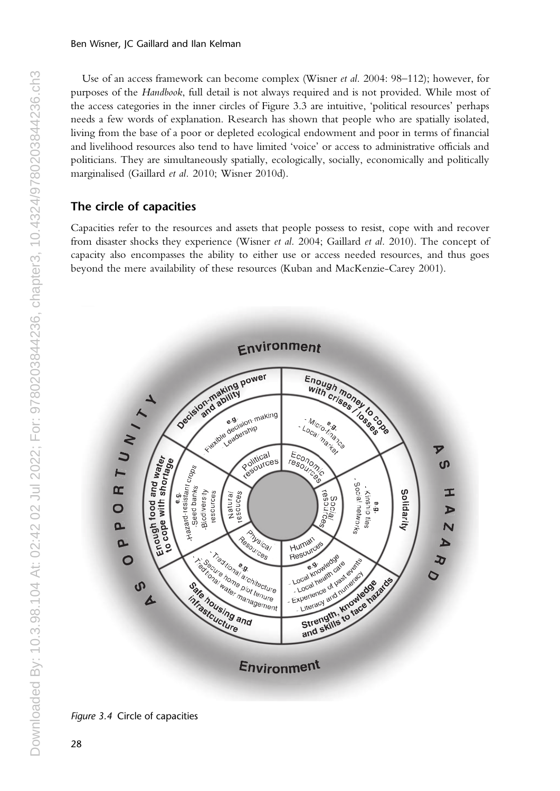Use of an access framework can become complex (Wisner et al. 2004: 98–112); however, for purposes of the Handbook, full detail is not always required and is not provided. While most of the access categories in the inner circles of Figure 3.3 are intuitive, 'political resources' perhaps needs a few words of explanation. Research has shown that people who are spatially isolated, living from the base of a poor or depleted ecological endowment and poor in terms of financial and livelihood resources also tend to have limited 'voice' or access to administrative officials and politicians. They are simultaneously spatially, ecologically, socially, economically and politically marginalised (Gaillard et al. 2010; Wisner 2010d).

#### The circle of capacities

Capacities refer to the resources and assets that people possess to resist, cope with and recover from disaster shocks they experience (Wisner et al. 2004; Gaillard et al. 2010). The concept of capacity also encompasses the ability to either use or access needed resources, and thus goes beyond the mere availability of these resources (Kuban and MacKenzie-Carey 2001).



### **Environmen<sup>t</sup>**

Figure 3.4 Circle of capacities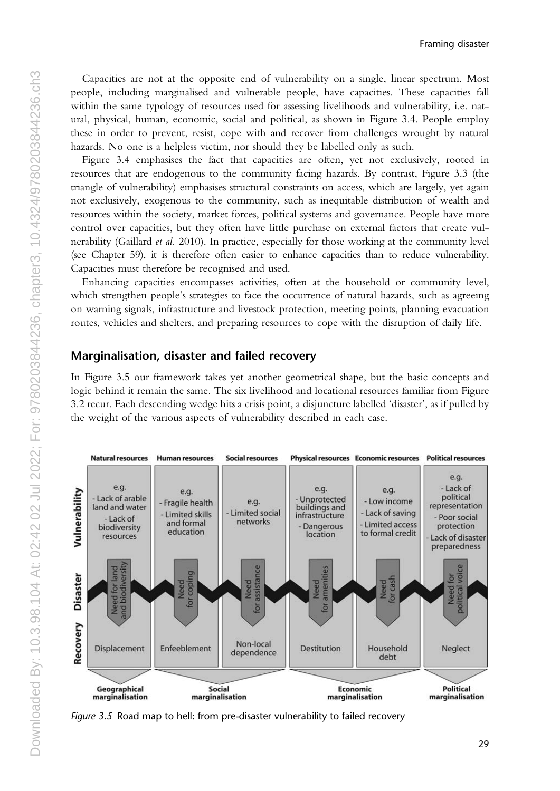Capacities are not at the opposite end of vulnerability on a single, linear spectrum. Most people, including marginalised and vulnerable people, have capacities. These capacities fall within the same typology of resources used for assessing livelihoods and vulnerability, i.e. natural, physical, human, economic, social and political, as shown in Figure 3.4. People employ these in order to prevent, resist, cope with and recover from challenges wrought by natural hazards. No one is a helpless victim, nor should they be labelled only as such.

Figure 3.4 emphasises the fact that capacities are often, yet not exclusively, rooted in resources that are endogenous to the community facing hazards. By contrast, Figure 3.3 (the triangle of vulnerability) emphasises structural constraints on access, which are largely, yet again not exclusively, exogenous to the community, such as inequitable distribution of wealth and resources within the society, market forces, political systems and governance. People have more control over capacities, but they often have little purchase on external factors that create vulnerability (Gaillard *et al.* 2010). In practice, especially for those working at the community level (see Chapter 59), it is therefore often easier to enhance capacities than to reduce vulnerability. Capacities must therefore be recognised and used.

Enhancing capacities encompasses activities, often at the household or community level, which strengthen people's strategies to face the occurrence of natural hazards, such as agreeing on warning signals, infrastructure and livestock protection, meeting points, planning evacuation routes, vehicles and shelters, and preparing resources to cope with the disruption of daily life.

#### Marginalisation, disaster and failed recovery

In Figure 3.5 our framework takes yet another geometrical shape, but the basic concepts and logic behind it remain the same. The six livelihood and locational resources familiar from Figure 3.2 recur. Each descending wedge hits a crisis point, a disjuncture labelled 'disaster', as if pulled by the weight of the various aspects of vulnerability described in each case.



Figure 3.5 Road map to hell: from pre-disaster vulnerability to failed recovery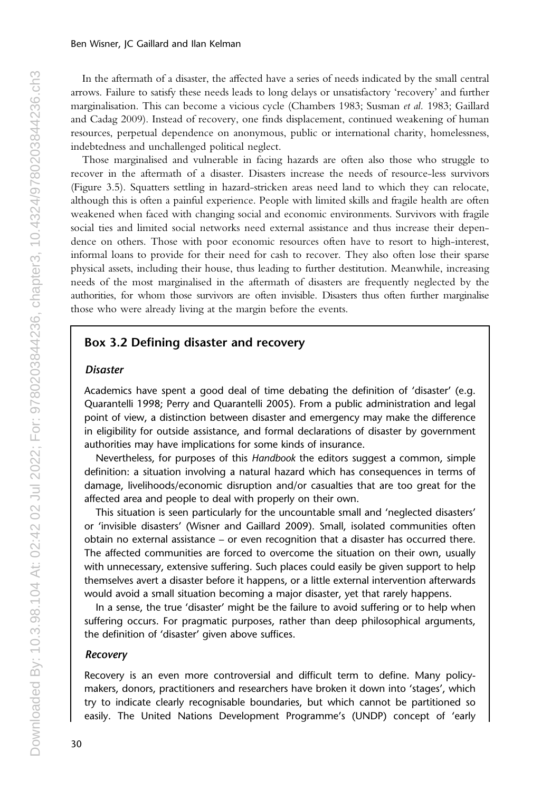In the aftermath of a disaster, the affected have a series of needs indicated by the small central arrows. Failure to satisfy these needs leads to long delays or unsatisfactory 'recovery' and further marginalisation. This can become a vicious cycle (Chambers 1983; Susman et al. 1983; Gaillard and Cadag 2009). Instead of recovery, one finds displacement, continued weakening of human resources, perpetual dependence on anonymous, public or international charity, homelessness, indebtedness and unchallenged political neglect.

Those marginalised and vulnerable in facing hazards are often also those who struggle to recover in the aftermath of a disaster. Disasters increase the needs of resource-less survivors (Figure 3.5). Squatters settling in hazard-stricken areas need land to which they can relocate, although this is often a painful experience. People with limited skills and fragile health are often weakened when faced with changing social and economic environments. Survivors with fragile social ties and limited social networks need external assistance and thus increase their dependence on others. Those with poor economic resources often have to resort to high-interest, informal loans to provide for their need for cash to recover. They also often lose their sparse physical assets, including their house, thus leading to further destitution. Meanwhile, increasing needs of the most marginalised in the aftermath of disasters are frequently neglected by the authorities, for whom those survivors are often invisible. Disasters thus often further marginalise those who were already living at the margin before the events.

#### Box 3.2 Defining disaster and recovery

#### **Disaster**

Academics have spent a good deal of time debating the definition of 'disaster' (e.g. Quarantelli 1998; Perry and Quarantelli 2005). From a public administration and legal point of view, a distinction between disaster and emergency may make the difference in eligibility for outside assistance, and formal declarations of disaster by government authorities may have implications for some kinds of insurance.

Nevertheless, for purposes of this Handbook the editors suggest a common, simple definition: a situation involving a natural hazard which has consequences in terms of damage, livelihoods/economic disruption and/or casualties that are too great for the affected area and people to deal with properly on their own.

This situation is seen particularly for the uncountable small and 'neglected disasters' or 'invisible disasters' (Wisner and Gaillard 2009). Small, isolated communities often obtain no external assistance – or even recognition that a disaster has occurred there. The affected communities are forced to overcome the situation on their own, usually with unnecessary, extensive suffering. Such places could easily be given support to help themselves avert a disaster before it happens, or a little external intervention afterwards would avoid a small situation becoming a major disaster, yet that rarely happens.

In a sense, the true 'disaster' might be the failure to avoid suffering or to help when suffering occurs. For pragmatic purposes, rather than deep philosophical arguments, the definition of 'disaster' given above suffices.

#### Recovery

Recovery is an even more controversial and difficult term to define. Many policymakers, donors, practitioners and researchers have broken it down into 'stages', which try to indicate clearly recognisable boundaries, but which cannot be partitioned so easily. The United Nations Development Programme's (UNDP) concept of 'early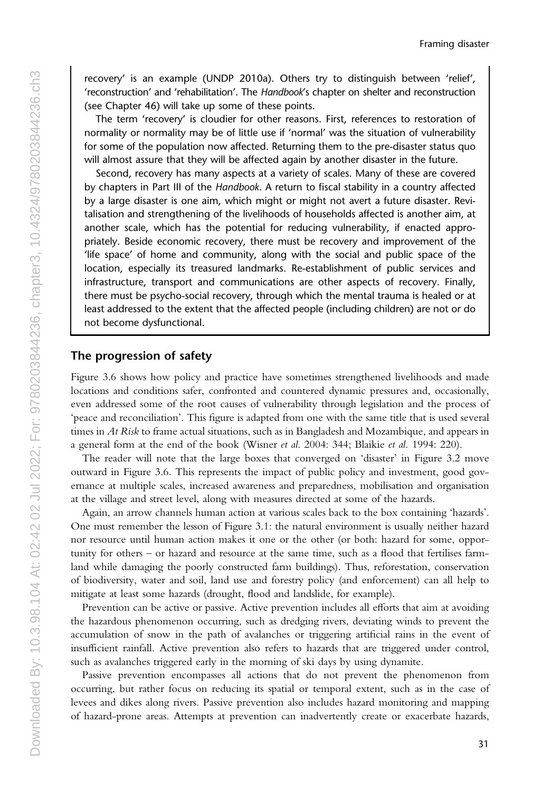recovery' is an example (UNDP 2010a). Others try to distinguish between 'relief', 'reconstruction' and 'rehabilitation'. The Handbook's chapter on shelter and reconstruction (see Chapter 46) will take up some of these points.

The term 'recovery' is cloudier for other reasons. First, references to restoration of normality or normality may be of little use if 'normal' was the situation of vulnerability for some of the population now affected. Returning them to the pre-disaster status quo will almost assure that they will be affected again by another disaster in the future.

Second, recovery has many aspects at a variety of scales. Many of these are covered by chapters in Part III of the Handbook. A return to fiscal stability in a country affected by a large disaster is one aim, which might or might not avert a future disaster. Revitalisation and strengthening of the livelihoods of households affected is another aim, at another scale, which has the potential for reducing vulnerability, if enacted appropriately. Beside economic recovery, there must be recovery and improvement of the 'life space' of home and community, along with the social and public space of the location, especially its treasured landmarks. Re-establishment of public services and infrastructure, transport and communications are other aspects of recovery. Finally, there must be psycho-social recovery, through which the mental trauma is healed or at least addressed to the extent that the affected people (including children) are not or do not become dysfunctional.

#### The progression of safety

Figure 3.6 shows how policy and practice have sometimes strengthened livelihoods and made locations and conditions safer, confronted and countered dynamic pressures and, occasionally, even addressed some of the root causes of vulnerability through legislation and the process of 'peace and reconciliation'. This figure is adapted from one with the same title that is used several times in At Risk to frame actual situations, such as in Bangladesh and Mozambique, and appears in a general form at the end of the book (Wisner et al. 2004: 344; Blaikie et al. 1994: 220).

The reader will note that the large boxes that converged on 'disaster' in Figure 3.2 move outward in Figure 3.6. This represents the impact of public policy and investment, good governance at multiple scales, increased awareness and preparedness, mobilisation and organisation at the village and street level, along with measures directed at some of the hazards.

Again, an arrow channels human action at various scales back to the box containing 'hazards'. One must remember the lesson of Figure 3.1: the natural environment is usually neither hazard nor resource until human action makes it one or the other (or both: hazard for some, opportunity for others – or hazard and resource at the same time, such as a flood that fertilises farmland while damaging the poorly constructed farm buildings). Thus, reforestation, conservation of biodiversity, water and soil, land use and forestry policy (and enforcement) can all help to mitigate at least some hazards (drought, flood and landslide, for example).

Prevention can be active or passive. Active prevention includes all efforts that aim at avoiding the hazardous phenomenon occurring, such as dredging rivers, deviating winds to prevent the accumulation of snow in the path of avalanches or triggering artificial rains in the event of insufficient rainfall. Active prevention also refers to hazards that are triggered under control, such as avalanches triggered early in the morning of ski days by using dynamite.

Passive prevention encompasses all actions that do not prevent the phenomenon from occurring, but rather focus on reducing its spatial or temporal extent, such as in the case of levees and dikes along rivers. Passive prevention also includes hazard monitoring and mapping of hazard-prone areas. Attempts at prevention can inadvertently create or exacerbate hazards,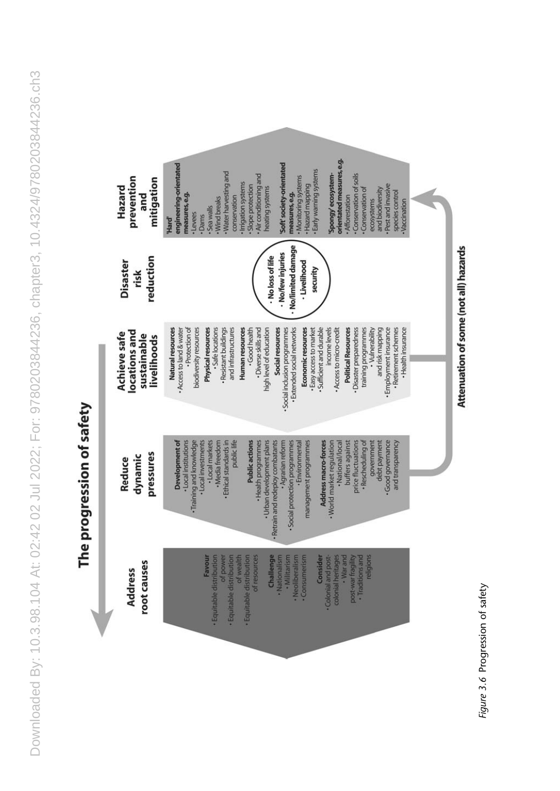